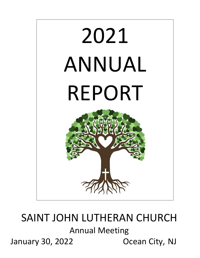

# SAINT JOHN LUTHERAN CHURCH Annual Meeting January 30, 2022 Ocean City, NJ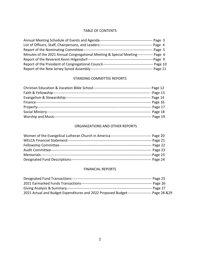### TABLE OF CONTENTS

| Annual Meeting Schedule of Events and Agenda-                                    | Page 3    |
|----------------------------------------------------------------------------------|-----------|
| List of Officers, Staff, Chairpersons, and Leaders-                              | Page 4    |
| Report of the Nominating Committee-                                              | - Page 5  |
| Minutes of the 2021 Annual Congregational Meeting & Special Meeting-             |           |
| Report of the Reverent Kevin Hilgendorf--                                        | -Page 9   |
| Report of the President of Congregational Council------------------------------- | Page 10   |
| Report of the New Jersey Synod Assembly--                                        | - Page 11 |

#### STANDING COMMITTEE REPORTS

|                            | -- Page 12 |
|----------------------------|------------|
|                            |            |
| Evangelism & Stewardship-- | -- Page 14 |
| Finance-                   |            |
|                            | -- Page 17 |
|                            | -- Page 18 |
| <b>Worship and Music--</b> | -- Page 19 |

### ORGANIZATIONS AND OTHER REPORTS

| Women of the Evangelical Lutheran Church in America------------------------------ | -- Page 20 |
|-----------------------------------------------------------------------------------|------------|
|                                                                                   | - Page 21  |
|                                                                                   | - Page 22  |
|                                                                                   | -- Page 23 |
|                                                                                   | $-Page$ 23 |
| Designated Fund Descriptions--                                                    | -- Page 24 |

### FINANCIAL REPORTS

|                                                                 | ---- Page 25 |
|-----------------------------------------------------------------|--------------|
| 2021 Earmarked Funds Transactions--                             | - Page 26    |
|                                                                 | -- Page 27   |
| 2021 Actual and Budget Expenditures and 2022 Proposed Budget--- | Page 28 & 29 |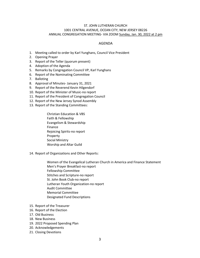#### ST. JOHN LUTHERAN CHURCH 1001 CENTRAL AVENUE, OCEAN CITY, NEW JERSEY 08226 ANNUAL CONGREGATION MEETING- VIA ZOOM Sunday, Jan. 30, 2022 at 2 pm

#### AGENDA

- 1. Meeting called to order by Karl Yunghans, Council Vice President
- 2. Opening Prayer
- 3. Report of the Teller (quorum present)
- 4. Adoption of the Agenda
- 5. Remarks by Congregation Council VP, Karl Yunghans
- 6. Report of the Nominating Committee
- 7. Balloting
- 8. Approval of Minutes- January 31, 2021
- 9. Report of the Reverend Kevin Hilgendorf
- 10. Report of the Minister of Music-no report
- 11. Report of the President of Congregation Council
- 12. Report of the New Jersey Synod Assembly
- 13. Report of the Standing Committees:

Christian Education & VBS Faith & Fellowship Evangelism & Stewardship Finance Rejoicing Spirits-no report Property Social Ministry Worship and Altar Guild

14. Report of Organizations and Other Reports:

Women of the Evangelical Lutheran Church in America and Finance Statement Men's Prayer Breakfast-no report Fellowship Committee Stitches and Scripture-no report St. John Book Club-no report Lutheran Youth Organization-no report Audit Committee Memorial Committee Designated Fund Descriptions

- 15. Report of the Treasurer
- 16. Report of the Election
- 17. Old Business
- 18. New Business
- 19. 2022 Proposed Spending Plan
- 20. Acknowledgements
- 21. Closing Devotions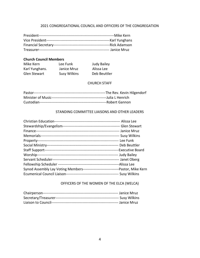### 2021 CONGREGATIONAL COUNCIL AND OFFICERS OF THE CONGREGATION

| ---Karl Yunghans |
|------------------|
|                  |
| -- Janice Mruz   |

### **Church Council Members**

| Mike Kern      | Lee Funk            | <b>Judy Bailey</b> |
|----------------|---------------------|--------------------|
| Karl Yunghans. | Janice Mruz         | Alissa Lee         |
| Glen Stewart   | <b>Susy Wilkins</b> | Deb Beuttler       |

### CHURCH STAFF

### STANDING COMMITTEE LIAISONS AND OTHER LEADERS

| Synod Assembly Lay Voting Members--------------------------------Pastor, Mike Kern |  |
|------------------------------------------------------------------------------------|--|
|                                                                                    |  |

### OFFICERS OF THE WOMEN OF THE ELCA (WELCA)

| -- Susy Wilkins |
|-----------------|
|                 |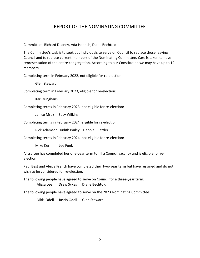### REPORT OF THE NOMINATING COMMITTEE

Committee: Richard Deaney, Ada Henrich, Diane Bechtold

The Committee's task is to seek out individuals to serve on Council to replace those leaving Council and to replace current members of the Nominating Committee. Care is taken to have representation of the entire congregation. According to our Constitution we may have up to 12 members.

Completing term in February 2022, not eligible for re-election:

Glen Stewart

Completing term in February 2023, eligible for re-election:

Karl Yunghans

Completing terms in February 2023, not eligible for re-election:

Janice Mruz Susy Wilkins

Completing terms in February 2024, eligible for re-election:

Rick Adamson Judith Bailey Debbie Buettler

Completing terms in February 2024, not eligible for re-election:

Mike Kern Lee Funk

Alissa Lee has completed her one-year term to fill a Council vacancy and is eligible for reelection

Paul Best and Alexia French have completed their two-year term but have resigned and do not wish to be considered for re-election.

The following people have agreed to serve on Council for a three-year term: Alissa Lee Drew Sykes Diane Bechtold

The following people have agreed to serve on the 2023 Nominating Committee:

Nikki Odell Justin Odell Glen Stewart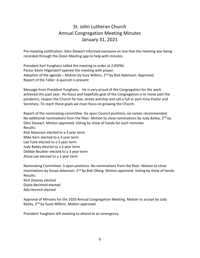# St. John Lutheran Church Annual Congregation Meeting Minutes January 31, 2021

Pre-meeting notification: Glen Stewart informed everyone on line that the meeting was being recorded through the Zoom Meeting app to help with minutes.

President Karl Yunghans called the meeting to order at 2:05PM. Pastor Kevin Hilgendorf opened the meeting with prayer. Adoption of the agenda – Motion by Susy Wilkins,  $2<sup>nd</sup>$  by Rick Adamson. Approved Report of the Teller: A quorum is present

Message from President Yunghans: He is very proud of the Congregation for the work achieved this past year. His focus and hopefully goal of the Congregation is to move past the pandemic, reopen the Church for live, onsite worship and call a full or part-time Pastor and Secretary. To reach these goals we must focus on growing the Church.

Report of the nominating committee: Six open Council positions, six names recommended. No additional nominations from the floor. Motion to close nominations by Judy Bailey,  $2^{nd}$  by Glen Stewart. Motion approved. Voting by show of hands for each nominee. Results: Rick Adamson elected to a 3 year term Mike Kern elected to a 3 year term Lee Funk elected to a 3 year term Judy Bailey elected to a 3 year term Debbie Beuttler elected to a 3 year term

Alissa Lee elected to a 1 year term

Nominating Committee: 3 open positions. No nominations from the floor. Motion to close nominations by Sonya Adamson, 2<sup>nd</sup> by Bob Oberg. Motion approved. Voting by show of hands. Results:

Rich Deaney elected Diane Bechtold elected Ada Henrich elected

Approval of Minutes for the 2020 Annual Congregation Meeting. Motion to accept by Judy Bailey, 2<sup>nd</sup> by Susie Wilkins. Motion approved.

President Yunghans left meeting to attend to an emergency.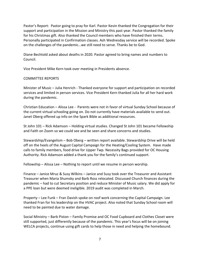Pastor's Report: Pastor going to pray for Karl. Pastor Kevin thanked the Congregation for their support and participation in the Mission and Ministry this past year. Pastor thanked the family for his Christmas gift. Also thanked the Council members who have finished their terms. Personally participated in Confirmation classes. Ash Wednesday service will be recorded. Spoke on the challenges of the pandemic…we still need to serve. Thanks be to God.

Diane Bechtold asked about deaths in 2020. Pastor agreed to bring names and numbers to Council.

Vice President Mike Kern took over meeting in Presidents absence.

### COMMITTEE REPORTS

Minister of Music – Julia Henrich - Thanked everyone for support and participation on recorded services and limited in person services. Vice President Kern thanked Julia for all her hard work during the pandemic.

Christian Education – Alissa Lee - Parents were not in favor of virtual Sunday School because of the current virtual schooling going on. Do not currently have materials available to send out. Janet Oberg offered up info on the Spark Bible as additional resources.

St John 101 – Rick Adamson – Holding virtual studies. Changed St John 101 became Fellowship and Faith on Zoom so we could see and be seen and share concerns and studies.

Stewardship/Evangelism – Bob Oberg – written report available. Stewardship Drive will be held off on the heels of the August Capital Campaign for the Heating/Cooling System. Have made calls to family members, food drive for Upper Twp. Necessity Bags provided for OC Housing Authority. Rick Adamson added a thank you for the family's continued support.

Fellowship – Alissa Lee – Nothing to report until we resume in person worship.

Finance – Janice Mruz & Susy Wilkins – Janice and Susy took over the Treasurer and Assistant Treasurer when Maria Shumsky and Barb Ross relocated. Discussed Church finances during the pandemic – had to cut Secretary position and reduce Minister of Music salary. We did apply for a PPE loan but were deemed ineligible. 2019 audit was completed in March.

Property – Lee Funk – Fran Davish spoke on roof work concerning the Capital Campaign. Lee thanked Fran for his leadership on the HVAC project. Also noted that Sunday School room will need to be painted due to water damage.

Social Ministry – Barb Piston – Family Promise and OC Food Cupboard and Clothes Closet were still supported, just differently because of the pandemic. This year's focus will be on joining WELCA projects, continue using gift cards to help those in need and helping the homebound.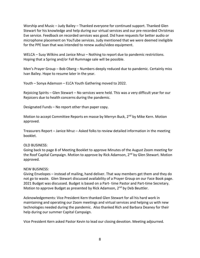Worship and Music – Judy Bailey – Thanked everyone for continued support. Thanked Glen Stewart for his knowledge and help during our virtual services and our pre-recorded Christmas Eve service. Feedback on recorded services was good. Did have requests for better audio or microphone placement on YouTube services. Judy mentioned that we were deemed ineligible for the PPE loan that was intended to renew audio/video equipment.

WELCA – Susy Wilkins and Janice Mruz – Nothing to report due to pandemic restrictions. Hoping that a Spring and/or Fall Rummage sale will be possible.

Men's Prayer Group – Bob Oberg – Numbers deeply reduced due to pandemic. Certainly miss Ivan Bailey. Hope to resume later in the year.

Youth – Sonya Adamson – ELCA Youth Gathering moved to 2022.

Rejoicing Spirits – Glen Stewart – No services were held. This was a very difficult year for our Rejoicers due to health concerns during the pandemic.

Designated Funds – No report other than paper copy.

Motion to accept Committee Reports en masse by Merryn Buck, 2<sup>nd</sup> by Mike Kern. Motion approved.

Treasurers Report – Janice Mruz – Asked folks to review detailed information in the meeting booklet.

### OLD BUSINESS:

Going back to page 8 of Meeting Booklet to approve Minutes of the August Zoom meeting for the Roof Capital Campaign. Motion to approve by Rick Adamson, 2<sup>nd</sup> by Glen Stewart. Motion approved.

### NEW BUSINESS:

Giving Envelopes – instead of mailing, hand deliver. That way members get them and they do not go to waste. Glen Stewart discussed availability of a Prayer Group on our Face Book page. 2021 Budget was discussed. Budget is based on a Part- time Pastor and Part-time Secretary. Motion to approve Budget as presented by Rick Adamson, 2<sup>nd</sup> by Deb Beuttler.

Acknowledgements: Vice President Kern thanked Glen Stewart for all his hard work in maintaining and operating our Zoom meetings and virtual services and helping us with new technologies needed during the pandemic. Also thanked Rich and Barbara Deaney for their help during our summer Capital Campaign.

Vice President Kern asked Pastor Kevin to lead our closing devotion. Meeting adjourned.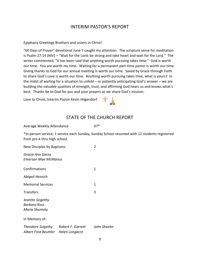### INTERIM PASTOR'S REPORT

Epiphany Greetings Brothers and sisters in Christ!

"60 Days of Prayer" devotional June 7 caught my attention. The scripture verse for meditation is Psalm 27:14 (NIV) – "Wait for the Lord; be strong and take heart and wait for the Lord." The writer commented, "It has been said that anything worth pursuing takes time." God is worth our time. You are worth my time. Waiting for a permanent part-time pastor is worth our time. Giving thanks to God for our annual meeting is worth our time. Saved by Grace through Faith to share God's Love is worth our time. Anything worth pursuing takes time, what is yours? In the midst of waiting for a situation to unfold – or patiently anticipating God's answer – we are building the valuable qualities of strength, trust, and affirming God hears us and knows what's best. Thanks be to God for you and your prayers as we share God's mission.

Love to Christ, Interim Pastor Kevin Hilgendorf

### STATE OF THE CHURCH REPORT

| Average Weekly Attendance | 47* |
|---------------------------|-----|
|                           |     |

\*In-person service, 1 service each Sunday, Sunday School resumed with 12 students registered from pre-k thru high school.

| New Disciples by Baptisms                         | 2                                   |              |
|---------------------------------------------------|-------------------------------------|--------------|
| Gracie Ann Garza<br>Emerson Mae McManus           |                                     |              |
| Confirmations                                     |                                     | 1            |
| Abigail Henrich                                   |                                     |              |
| <b>Memorial Services</b>                          |                                     | 1            |
| Transfers                                         |                                     | 3            |
| Jeantte Szigethy<br>Barbara Ross<br>Maria Shumsky |                                     |              |
| In Memory of:                                     |                                     |              |
| Albert Fred Beuttler Helen Longacre               | Theodore Szigethy Robert F. Garrett | John Sheeler |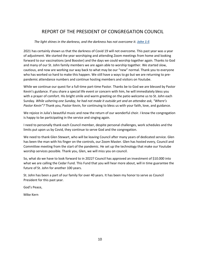# REPORT OF THE PRESIDENT OF CONGREGATION COUNCIL

#### *The light shines in the darkness, and the darkness has not overcome it. John 1:5*

2021 has certainly shown us that the darkness of Covid 19 will not overcome. This past year was a year of adjustment. We started the year worshiping and attending Zoom meetings from home and looking forward to our vaccinations (and Booster) and the days we could worship together again. Thanks to God and many of our St. John family members we are again able to worship together. We started slow, cautious, and now are working our way back to what may be our "new" normal. Thank you to everyone who has worked so hard to make this happen. We still have a ways to go but we are returning to prepandemic attendance numbers and continue hosting members and visitors on Youtube.

While we continue our quest for a full-time part-time Pastor. Thanks be to God we are blessed by Pastor Kevin's guidance. If you share a special life event or concern with him, he will immediately bless you with a prayer of comfort. His bright smile and warm greeting on the patio welcome us to St. John each Sunday. *While ushering one Sunday, he had not made it outside yet and an attendee ask, "Where's Pastor Kevin"?* Thank you, Pastor Kevin, for continuing to bless us with your faith, love, and guidance.

We rejoice in Julia's beautiful music and now the return of our wonderful choir. I know the congregation is happy to be participating in the service and singing again.

I need to personally thank each Council member, despite personal challenges, work schedules and the limits put upon us by Covid, they continue to serve God and the congregation.

We need to thank Glen Stewart, who will be leaving Council after many years of dedicated service. Glen has been the man with his finger on the controls, our Zoom Master. Glen has hosted every, Council and Committee meeting from the start of the pandemic. He set up the technology that make our Youtube worship services possible. Thank you, Glen, we will miss you on council.

So, what do we have to look forward to in 2022? Council has approved an investment of \$10.000 into what we are calling the Cedar Fund. This Fund that you will hear more about, will in time guarantee the future of St. John for another 100 years.

St. John has been a part of our family for over 40 years. It has been my honor to serve as Council President for this past year.

God's Peace,

Mike Kern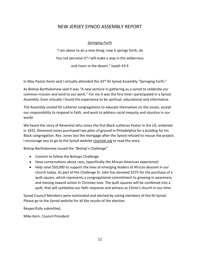### NEW JERSEY SYNOD ASSEMBLY REPORT

### *Springing Forth*

"I am about to do a new thing; now it springs forth, do You not perceive it? I will make a way in the wilderness <sup>a</sup>nd rivers in the desert." Isaiah 43:9

In May Pastor Kevin and I virtually attended the 33<sup>rd</sup> NJ Synod Assembly "Springing Forth."

As Bishop Bartholomew said it was "A new venture in gathering as a synod to celebrate our common mission and tend to our work." For me it was the first time I participated in a Synod Assembly. Even virtually I found the experience to be spiritual, educational and informative.

The Assembly invited NJ Lutheran congregations to educate themselves on the issues, accept our responsibility to respond in faith, and work to address racial inequity and injustice in our world.

We heard the story of Reverend Jehu Jones the first Black Lutheran Pastor in the US, ordained in 1832. Reverend Jones purchased two plots of ground in Philadelphia for a building for his Black congregation. Rev. Jones lost the mortgage after the Synod refused to rescue the project. I encourage you to go to the Synod website njsynod.org to read the story.

Bishop Bartholomew issued the "Bishop's Challenge"

- Commit to follow the Bishops Challenge
- Have conversations about race, (specifically the African American experience)
- Help raise \$50,000 to support the lives of emerging leaders of African descent in our church today. As part of the Challenge St. John has donated \$375 for the purchase of a quilt square, which represents a congregational commitment to growing in awareness and moving toward action in Christian love. The quilt squares will be combined into <sup>a</sup> quilt, that will symbolize our faith response and witness as Christ's church in our time.

Synod Council Members were nominated and elected by voting members of the NJ Synod. Please go to the Synod website for all the results of the election.

Respectfully submitted,

Mike Kern, Council President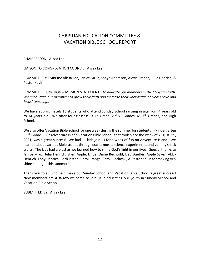# CHRISTIAN EDUCATION COMMITTEE & VACATION BIBLE SCHOOL REPORT

#### CHAIRPERSON: Alissa Lee

LIAISON TO CONGREGATION COUNCIL: Alissa Lee

COMMITTEE MEMBERS: Alissa Lee, Janice Mruz, Sonya Adamson, Alexia French, Julia Henrich, & Pastor Kevin

COMMITTEE FUNCTION – MISSION STATEMENT: *To educate our members in the Christian faith. We encourage our members to grow their faith and increase their knowledge of God's Love and Jesus' teachings.* 

We have approximately 10 students who attend Sunday School ranging in age from 4 years old to 14 years old. We offer four classes: PK-1<sup>st</sup> Grade, 2<sup>nd</sup>-5<sup>th</sup> Grades, 6<sup>th</sup>-7<sup>th</sup> Grades, and High School.

We also offer Vacation Bible School for one week during the summer for students in Kindergarten – 5<sup>th</sup> Grade. Our Adventure Island Vacation Bible School, that took place the week of August 2<sup>nd</sup>, 2021, was a great success! We had 11 kids join us for a week of fun on Adventure Island. We learned about various Bible stories through crafts, music, science experiments, and yummy snack crafts. The kids had a blast as we learned how to shine God's light in our lives. Special thanks to Janice Mruz, Julia Henrich, Sheri Apple, Linda, Diane Bechtold, Deb Buetler, Apple Sykes, Abby Henrich, Tony Henrich, Barb Piston, Carol Prange, Carol Piechoski, & Pastor Kevin for making VBS shine so bright this summer!

Thank you to all who help make our Sunday School and Vacation Bible School a great success! New members are **ALWAYS** welcome to join us in educating our youth in Sunday School and Vacation Bible School.

SUBMITTED BY: Alissa Lee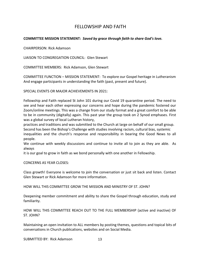### FELLOWSHIP AND FAITH

### **COMMITTEE MISSION STATEMENT:** *Saved by grace through faith to share God's love.*

CHAIRPERSON: Rick Adamson

LIAISON TO CONGREGATION COUNCIL: Glen Stewart

COMMITTEE MEMBERS: Rick Adamson, Glen Stewart

COMMITTEE FUNCTION – MISSION STATEMENT: To explore our Gospel heritage in Lutheranism And engage participants in understanding the faith (past, present and future).

SPECIAL EVENTS OR MAJOR ACHIEVEMENTS IN 2021:

Fellowship and Faith replaced St John 101 during our Covid 19 quarantine period. The need to see and hear each other expressing our concerns and hope during the pandemic fostered our Zoom/online meetings. This was a change from our study format and a great comfort to be able to be in community (digitally) again. This past year the group took on 2 Synod emphases. First was a global survey of local Lutheran history,

practices and traditions and was submitted to the Church at large on behalf of our small group. Second has been the Bishop's Challenge with studies involving racism, cultural bias, systemic

inequalities and the church's response and responsibility in bearing the Good News to all people.

We continue with weekly discussions and continue to invite all to join as they are able. As always

it is our goal to grow in faith as we bond personally with one another in Fellowship.

CONCERNS AS YEAR CLOSES:

Class growth! Everyone is welcome to join the conversation or just sit back and listen. Contact Glen Stewart or Rick Adamson for more information.

HOW WILL THIS COMMITTEE GROW THE MISSION AND MINISTRY OF ST. JOHN?

Deepening member commitment and ability to share the Gospel through education, study and familiarity.

HOW WILL THIS COMMITTEE REACH OUT TO THE FULL MEMBERSHIP (active and inactive) OF ST. JOHN?

Maintaining an open invitation to ALL members by posting themes, questions and topical bits of conversations in Church publications, websites and on Social Media.

SUBMITTED BY: Rick Adamson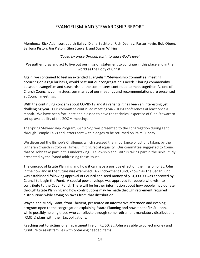### EVANGELISM AND STEWARDSHIP REPORT

Members: Rick Adamson, Judith Bailey, Diane Bechtold, Rich Deaney, Pastor Kevin, Bob Oberg, Barbara Piston, Jim Piston, Glen Stewart, and Susan Wilkins

*"Saved by grace through faith, to share God's love"*

We gather, pray and act to live out our mission statement to continue in this place and in the world as the Body of Christ!

Again, we continued to feel an extended Evangelism/Stewardship Committee, meeting occurring on a regular basis, would best suit our congregation's needs. Sharing commonality between evangelism and stewardship, the committees continued to meet together. As one of Church Council's committees, summaries of our meetings and recommendations are presented at Council meetings.

With the continuing concern about COVID-19 and its variants it has been an interesting yet challenging year. Our committee continued meeting via ZOOM conferences at least once a month. We have been fortunate and blessed to have the technical expertise of Glen Stewart to set up availability of the ZOOM meetings.

The Spring Stewardship Program, *Get a Grip* was presented to the congregation during Lent through Temple Talks and letters sent with pledges to be returned on Palm Sunday.

We discussed the Bishop's Challenge, which stressed the importance of actions taken, by the Lutheran Church in Colonial Times, limiting racial equality. Our committee suggested to Council that St. John take part in this undertaking. Fellowship and Faith is taking part in the Bible Study presented by the Synod addressing these issues.

The concept of Estate Planning and how it can have a positive effect on the mission of St. John in the now and in the future was examined. An Endowment Fund, known as The Cedar Fund, was established following approval of Council and seed money of \$10,000.00 was approved by Council to begin the Fund. A special pew envelope was approved for people who wish to contribute to the Cedar Fund. There will be further information about how people may donate through Estate Planning and how contributions may be made through retirement required distributions while saving on taxes from that distribution.

Wayne and Mindy Grant, from Thrivent, presented an informative afternoon and evening program open to the congregation explaining Estate Planning and how it benefits St. John, while possibly helping those who contribute through some retirement mandatory distributions (RMD's) plans with their tax obligations.

Reaching out to victims of an apartment fire on Rt. 50, St. John was able to collect money and furniture to assist families with obtaining needed items.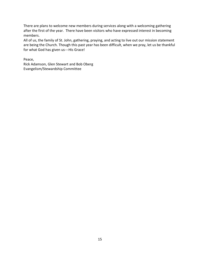There are plans to welcome new members during services along with a welcoming gathering after the first of the year. There have been visitors who have expressed interest in becoming members.

All of us, the family of St. John, gathering, praying, and acting to live out our mission statement are being the Church. Though this past year has been difficult, when we pray, let us be thankful for what God has given us---His Grace!

Peace,

Rick Adamson, Glen Stewart and Bob Oberg Evangelism/Stewardship Committee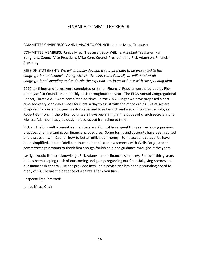### FINANCE COMMITTEE REPORT

COMMITTEE CHAIRPERSON AND LIAISON TO COUNCIL: Janice Mruz, Treasurer

COMMITTEE MEMBERS: Janice Mruz, Treasurer, Susy Wilkins, Assistant Treasurer, Karl Yunghans, Council Vice President, Mike Kern, Council President and Rick Adamson, Financial **Secretary** 

MISSION STATEMENT: *We will annually develop a spending plan to be presented to the congregation and council. Along with the Treasurer and Council, we will monitor all congregational spending and maintain the expenditures in accordance with the spending plan.*

2020 tax filings and forms were completed on time. Financial Reports were provided by Rick and myself to Council on a monthly basis throughout the year. The ELCA Annual Congregational Report, Forms A & C were completed on time. In the 2022 Budget we have proposed a parttime secretary, one day a week for 8 hrs. a day to assist with the office duties. 5% raises are proposed for our employees, Pastor Kevin and Julia Henrich and also our contract employee Robert Gannon. In the office, volunteers have been filling in the duties of church secretary and Melissa Adamson has graciously helped us out from time to time.

Rick and I along with committee members and Council have spent this year reviewing previous practices and fine tuning our financial procedures. Some forms and accounts have been revised and discussion with Council how to better utilize our money. Some account categories have been simplified. Justin Odell continues to handle our investments with Wells Fargo, and the committee again wants to thank him enough for his help and guidance throughout the years.

Lastly, I would like to acknowledge Rick Adamson, our financial secretary. For over thirty years he has been keeping track of our coming and goings regarding our financial giving records and our finances in general. He has provided invaluable advice and has been a sounding board to many of us. He has the patience of a saint! Thank you Rick!

Respectfully submitted:

Janice Mruz, Chair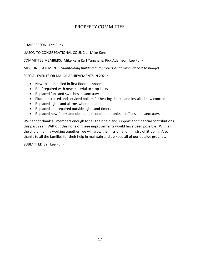### PROPERTY COMMITTEE

CHAIRPERSON: Lee Funk

LIASON TO CONGREGATIONAL COUNCIL: Mike Kern

COMMITTEE MEMBERS: Mike Kern Karl Yunghans, Rick Adamson, Lee Funk

MISSION STATEMENT: *Maintaining building and properties at minimal cost to budget.*

SPECIAL EVENTS OR MAJOR ACHIEVEMENTS IN 2021:

- New toilet installed in first floor bathroom
- Roof repaired with new material to stop leaks
- Replaced fans and switches in sanctuary
- Plumber started and serviced boilers for heating church and installed new control panel
- Replaced lights and alarms where needed
- Replaced and repaired outside lights and timers
- Replaced new filters and cleaned air conditioner units in offices and sanctuary.

We cannot thank all members enough for all their help and support and financial contributions this past year. Without this none of these improvements would have been possible. With all the church family working together, we will grow the mission and ministry of St. John. Also thanks to all the families for their help in maintain and up keep all of our outside grounds.

SUBMITTED BY: Lee Funk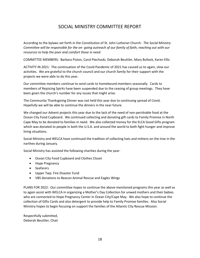## SOCIAL MINISTRY COMMITTEE REPORT

According to the bylaws set forth in the Constitution of St. John Lutheran Church: *The Social Ministry Committee will be responsible for the on- going outreach of our family of faith, reaching out with our resources to help the poor and comfort those in need.*

COMMITTEE MEMBERS: Barbara Piston, Carol Piechoski, Deborah Beuttler, Mary Bullock, Karen Ellis

ACTIVITY IN 2021: The continuation of the Covid Pandemic of 2021 has caused us to again, slow our activities. We are grateful to the church council and our church family for their support with the projects we were able to do this year.

Our committee members continue to send cards to homebound members seasonally. Cards to members of Rejoicing Spirits have been suspended due to the ceasing of group meetings. They have been given the church's number for any issues that might arise.

The Community Thanksgiving Dinner was not held this year due to continuing spread of Covid. Hopefully we will be able to continue the dinners in the near future.

We changed our Advent projects this year due to the lack of the need of non-perishable food at the Ocean City Food Cupboard. We continued collecting and donating gift cards to Family Promise in North Cape May to be donated to families in need. We also collected money for the ELCA Good Gifts program which was donated to people in both the U.S.A. and around the world to both fight hunger and improve living situations.

Social Ministry and WELCA have continued the tradition of collecting hats and mittens on the tree in the narthex during January.

Social Ministry has assisted the following charities during the year:

- Ocean City Food Cupboard and Clothes Closet
- Hope Pregnancy
- Seafarers
- Upper Twp. Fire Disaster Fund
- VBS donations to Beacon Animal Rescue and Eagles Wings

PLANS FOR 2022: Our committee hopes to continue the above-mentioned programs this year as well as to again assist with WELCA in organizing a Mother's Day Collection for unwed mothers and their babies who are connected to Hope Pregnancy Center in Ocean City/Cape May. We also hope to continue the collection of Gifts Cards and also detergent to provide help to Family Promise families. Also Social Ministry hopes to begin focusing on support the families of the Atlantic City Rescue Mission.

Respectfully submitted, Deborah Beuttler, Chair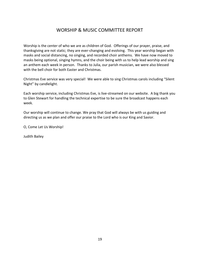### WORSHIP & MUSIC COMMITTEE REPORT

Worship is the center of who we are as children of God. Offerings of our prayer, praise, and thanksgiving are not static; they are ever-changing and evolving. This year worship began with masks and social distancing, no singing, and recorded choir anthems. We have now moved to masks being optional, singing hymns, and the choir being with us to help lead worship and sing an anthem each week in person. Thanks to Julia, our parish musician, we were also blessed with the bell choir for both Easter and Christmas.

Christmas Eve service was very special! We were able to sing Christmas carols including "Silent Night" by candlelight.

Each worship service, including Christmas Eve, is live-streamed on our website. A big thank you to Glen Stewart for handling the technical expertise to be sure the broadcast happens each week.

Our worship will continue to change. We pray that God will always be with us guiding and directing us as we plan and offer our praise to the Lord who is our King and Savior.

O, Come Let Us Worship!

Judith Bailey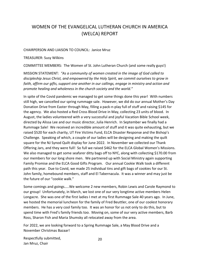# WOMEN OF THE EVANGELICAL LUTHERAN CHURCH IN AMERICA (WELCA) REPORT

### CHAIRPERSON AND LIAISON TO COUNCIL: Janice Mruz

TREASURER: Susy Wilkins

COMMITTEE MEMBERS: The Women of St. John Lutheran Church (and some really guys!)

MISSION STATEMENT: *"As a community of women created in the image of God called to discipleship Jesus Christ, and empowered by the Holy Spirit, we commit ourselves to grow in*  faith, affirm our gifts, support one another in our callings, engage in ministry and action and *promote healing and wholeness in the church society and the world."*

In spite of the Covid pandemic we managed to get some things done this year! With numbers still high, we cancelled our spring rummage sale. However, we did do our annual Mother's Day Donation Drive from Easter through May, filling a pack-n-play full of stuff and raising \$145 for the agency. We also hosted a Red Cross Blood Drive in May, collecting 23 units of blood. In August, the ladies volunteered with a very successful and joyful Vacation Bible School week, directed by Alissa Lee and our music director, Julia Henrich. In September we finally had a Rummage Sale! We received an incredible amount of stuff and it was quite exhausting, but we raised \$520 for each charity, UT Fire Victims Fund, ELCA Disaster Response and the Bishop's Challenge. Speaking of which, a couple of our ladies will be designing and making the quilt square for the NJ Synod Quilt display for June 2022. In November we collected our Thank Offering Jars, and they were full! So full we raised \$462 for the ELCA Global Women's Missions. We also managed to get some seafarer ditty bags off to NYC, along with collecting \$170.00 from our members for our long shore men. We partnered up with Social Ministry again supporting Family Promise and the ELCA Good Gifts Program. Our annual Cookie Walk took a different path this year. Due to Covid, we made 25 individual tins and gift bags of cookies for our St. John family, homebound members, staff and El Tabernacula. It was a winner and may just be the future of our "cookie walk."

Some comings and goings…..We welcome 2 new members, Robin Lewis and Carole Raymond to our group! Unfortunately, in March, we lost one of our very longtime active members Helen Longacre. She was one of the first ladies I met at my first Rummage Sale 40 years ago. In June, we hosted the memorial luncheon for the family of Fred Beuttler, one of our coolest honorary members. He has a very cool family too. It was an honor for us not only to do this, but to spend time with Fred's family friends too. Moving on, some of our very active members, Barb Ross, Sharon Fish and Maria Shumsky all relocated away from the area.

For 2022, we are looking forward to a Spring Rummage Sale, a May Blood Drive and a November Christmas Bazaar!

Respectfully submitted, Jan Mruz, Chair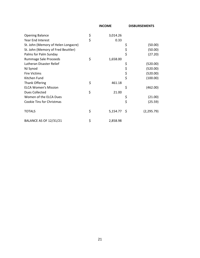|                                     | <b>INCOME</b>  |      | <b>DISBURSEMENTS</b> |
|-------------------------------------|----------------|------|----------------------|
| <b>Opening Balance</b>              | \$<br>3,014.26 |      |                      |
| Year End Interest                   | \$<br>0.33     |      |                      |
| St. John (Memory of Helen Longacre) |                | \$   | (50.00)              |
| St. John (Memory of Fred Beuttler)  |                | \$   | (50.00)              |
| Palms for Palm Sunday               |                | \$   | (27.20)              |
| Rummage Sale Proceeds               | \$<br>1,658.00 |      |                      |
| Lutheran Disaster Relief            |                | \$   | (520.00)             |
| NJ Synod                            |                | \$   | (520.00)             |
| <b>Fire Victims</b>                 |                | \$   | (520.00)             |
| Kitchen Fund                        |                | \$   | (100.00)             |
| <b>Thank Offering</b>               | \$<br>461.18   |      |                      |
| <b>ELCA Women's Mission</b>         |                | \$   | (462.00)             |
| Dues Collected                      | \$<br>21.00    |      |                      |
| Women of the ELCA Dues              |                | \$   | (21.00)              |
| <b>Cookie Tins for Christmas</b>    |                | \$   | (25.59)              |
| <b>TOTALS</b>                       | \$<br>5,154.77 | - \$ | (2, 295.79)          |
| <b>BALANCE AS OF 12/31/21</b>       | \$<br>2,858.98 |      |                      |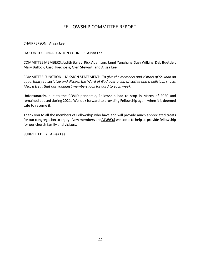### FELLOWSHIP COMMITTEE REPORT

CHAIRPERSON: Alissa Lee

LIAISON TO CONGREGATION COUNCIL: Alissa Lee

COMMITTEE MEMBERS: Judith Bailey, Rick Adamson, Janet Yunghans, Susy Wilkins, Deb Buettler, Mary Bullock, Carol Piechoski, Glen Stewart, and Alissa Lee.

COMMITTEE FUNCTION – MISSION STATEMENT: *To give the members and visitors of St. John an opportunity to socialize and discuss the Word of God over a cup of coffee and a delicious snack. Also, a treat that our youngest members look forward to each week.*

Unfortunately, due to the COVID pandemic, Fellowship had to stop in March of 2020 and remained paused during 2021. We look forward to providing Fellowship again when it is deemed safe to resume it.

Thank you to all the members of Fellowship who have and will provide much appreciated treats for our congregation to enjoy. New members are **ALWAYS** welcome to help us provide fellowship for our church family and visitors.

SUBMITTED BY: Alissa Lee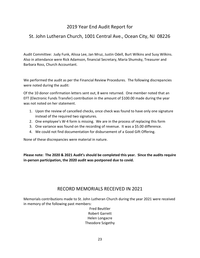# 2019 Year End Audit Report for

# St. John Lutheran Church, 1001 Central Ave., Ocean City, NJ 08226

Audit Committee: Judy Funk, Alissa Lee, Jan Mruz, Justin Odell, Burt Wilkins and Susy Wilkins. Also in attendance were Rick Adamson, financial Secretary, Maria Shumsky, Treasurer and Barbara Ross, Church Accountant.

We performed the audit as per the Financial Review Procedures. The following discrepancies were noted during the audit:

Of the 10 donor confirmation letters sent out, 8 were returned. One member noted that an EFT (Electronic Funds Transfer) contribution in the amount of \$100.00 made during the year was not noted on her statement.

- 1. Upon the review of cancelled checks, once check was found to have only one signature instead of the required two signatures.
- 2. One employee's W-4 form is missing. We are in the process of replacing this form
- 3. One variance was found on the recording of revenue. It was a \$5.00 difference.
- 4. We could not find documentation for disbursement of a Good Gift Offering.

None of these discrepancies were material in nature.

**Please note: The 2020 & 2021 Audit's should be completed this year. Since the audits require in-person participation, the 2020 audit was postponed due to covid.**

### RECORD MEMORIALS RECEIVED IN 2021

Memorials contributions made to St. John Lutheran Church during the year 2021 were received in memory of the following past members:

> Fred Beuttler Robert Garrett Helen Longacre Theodore Szigethy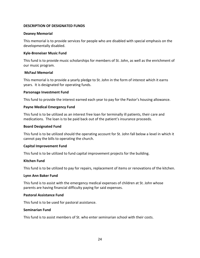### **DESCRIPTION OF DESIGNATED FUNDS**

#### **Deaney Memorial**

This memorial is to provide services for people who are disabled with special emphasis on the developmentally disabled.

### **Kyle-Breneiser Music Fund**

This fund is to provide music scholarships for members of St. John, as well as the enrichment of our music program.

### **McFaul Memorial**

This memorial is to provide a yearly pledge to St. John in the form of interest which it earns years. It is designated for operating funds.

#### **Parsonage Investment Fund**

This fund to provide the interest earned each year to pay for the Pastor's housing allowance.

#### **Payne Medical Emergency Fund**

This fund is to be utilized as an interest free loan for terminally ill patients, their care and medications. The loan is to be paid back out of the patient's insurance proceeds.

#### **Board Designated Fund**

This fund is to be utilized should the operating account for St. John fall below a level in which it cannot pay the bills to operating the church.

### **Capital Improvement Fund**

This fund is to be utilized to fund capital improvement projects for the building.

#### **Kitchen Fund**

This fund is to be utilized to pay for repairs, replacement of items or renovations of the kitchen.

#### **Lynn Ann Baker Fund**

This fund is to assist with the emergency medical expenses of children at St. John whose parents are having financial difficulty paying for said expenses.

#### **Pastoral Assistance Fund**

This fund is to be used for pastoral assistance.

### **Seminarian Fund**

This fund is to assist members of St. who enter seminarian school with their costs.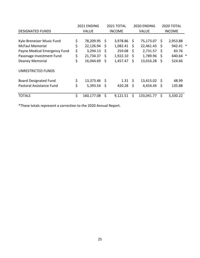|                              | 2021 ENDING |                |     | 2021 TOTAL    |              | 2020 ENDING  | 2020 TOTAL    |          |        |
|------------------------------|-------------|----------------|-----|---------------|--------------|--------------|---------------|----------|--------|
| <b>DESIGNATED FUNDS</b>      |             | <b>VALUE</b>   |     | <b>INCOME</b> |              | <b>VALUE</b> | <b>INCOME</b> |          |        |
|                              |             |                |     |               |              |              |               |          |        |
| Kyle-Breneiser Music Fund    | \$          | 78,209.95      | \$  | 3,978.86      | Ŝ.           | 75,173.07    | \$            | 2,953.88 |        |
| <b>McFaul Memorial</b>       | \$          | 22,126.94      | \$  | 1,082.41      | S            | 22,461.43    | \$            | 942.41 * |        |
| Payne Medical Emergency Fund | \$          | 3,294.13       | Ŝ.  | 259.08        | Ŝ            | 2,731.57     | -Ŝ            | 83.76    |        |
| Pasonage Investment Fund     | \$          | 21,734.37      | -S  | 1,922.10      | <sub>S</sub> | 1,789.96     | S             | 640.64   | $\ast$ |
| Deaney Memorial              | \$          | 16,044.69      | \$  | 1,457.47      | \$           | 13,016.28    | \$            | 524.66   |        |
| <b>UNRESTRICTED FUNDS</b>    |             |                |     |               |              |              |               |          |        |
| <b>Board Designated Fund</b> | \$          | $13,373.46$ \$ |     | 1.31          | - S          | 13,415.02    | -S            | 48.99    |        |
| Pastoral Assistance Fund     | \$          | 5,393.54       | -\$ | 420.28        | <sub>S</sub> | 4,454.44     | S             | 135.88   |        |
| <b>TOTALS</b>                | \$          | 160,177.08     | S   | 9,121.51      | Ś            | 133,041.77   | Ś             | 5,330.22 |        |

\*These totals represent a correction to the 2020 Annual Report.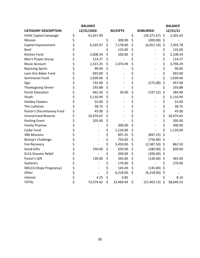|                               | <b>BALANCE</b>                 |                 |                    | <b>BALANCE</b>  |
|-------------------------------|--------------------------------|-----------------|--------------------|-----------------|
| <b>CATEGORY DESCRIPTION</b>   | 12/31/2020                     | <b>RECEIPTS</b> | <b>DISBURSED</b>   | 12/31/21        |
| <b>HVAC Capital Campaign</b>  | \$<br>41,637.09                |                 | \$<br>(39, 371.67) | \$<br>2,265.42  |
| Mission                       | \$                             | \$<br>300.00    | \$<br>(300.00)     | \$              |
| Capital Improvement           | \$<br>6,165.97                 | \$<br>7,178.00  | \$<br>(6,051.19)   | \$<br>7,292.78  |
| Roof                          | \$                             | \$<br>125.00    | \$                 | \$<br>125.00    |
| Kitchen Fund                  | \$<br>2,008.34                 | \$<br>100.00    | \$                 | \$<br>2,108.34  |
| Men's Prayer Group            | \$<br>114.27                   | \$              | \$                 | \$<br>114.27    |
| Music Account                 | \$<br>2,313.35                 | \$<br>1,476.94  | \$                 | \$<br>3,790.29  |
| <b>Rejoicing Spirits</b>      | \$<br>90.00                    | \$              | \$                 | \$<br>90.00     |
| Lynn Ann Baker Fund           | \$<br>693.00                   | \$              | \$                 | \$<br>693.00    |
| Seminarian Fund               | \$<br>1,830.66                 | \$              | \$                 | \$<br>1,830.66  |
| Sign                          | \$<br>732.00                   | \$              | \$<br>(275.00)     | \$<br>457.00    |
| <b>Thanksgiving Dinner</b>    | \$<br>193.88                   | \$              | \$                 | \$<br>193.88    |
| Parish Education              | \$<br>462.50                   | \$<br>20.00     | \$<br>(197.52)     | \$<br>284.98    |
| Youth                         | \$<br>5,110.94                 | \$              | \$                 | \$<br>5,110.94  |
| <b>Holiday Flowers</b>        | \$<br>55.00                    | \$              | \$                 | \$<br>55.00     |
| The Lutheran                  | \$<br>58.75                    | \$              | \$                 | \$<br>58.75     |
| Pastor's Discretionary Fund   | \$<br>45.00                    | \$              | \$                 | \$<br>45.00     |
| <b>Unrestricted Reserve</b>   | \$<br>10,474.62                | \$              | \$                 | \$<br>10,474.62 |
| <b>Packing Event</b>          | \$<br>205.00                   | \$              | \$                 | \$<br>205.00    |
| <b>Family Promise</b>         | \$                             | \$<br>300.00    | \$                 | \$<br>300.00    |
| Cedar Fund                    | \$                             | \$<br>1,120.00  | \$                 | \$<br>1,120.00  |
| <b>VBS Missions</b>           | \$<br>$\overline{\phantom{a}}$ | \$<br>897.25    | \$<br>(897.25)     | \$              |
| <b>Bishop's Challenge</b>     | \$                             | \$<br>750.00    | \$<br>(750.00)     | \$              |
| <b>Fire Recovery</b>          | \$                             | \$<br>3,450.00  | \$<br>(2,587.50)   | \$<br>862.50    |
| <b>Good Gifts</b>             | \$<br>250.00                   | \$<br>650.00    | \$<br>(280.00)     | \$<br>620.00    |
| <b>ELCA Disaster Relief</b>   | \$                             | \$<br>200.00    | \$<br>(200.00)     | \$              |
| Pastor's Gift                 | \$<br>130.00                   | \$<br>365.00    | \$<br>(130.00)     | \$<br>365.00    |
| Seafarers                     | \$                             | \$<br>170.00    | \$                 | \$<br>170.00    |
| <b>WELCA</b> (Hope Pregnancy) | \$                             | \$<br>145.00    | \$<br>(145.00)     | \$              |
| Other                         | \$                             | \$<br>6,218.00  | \$<br>(6,218.00)   | \$              |
| interest                      | 4.25                           | \$<br>3.85      |                    | \$<br>8.10      |
| <b>TOTAL</b>                  | \$<br>72,574.62                | \$<br>23,469.04 | \$<br>(57, 403.13) | \$<br>38,640.53 |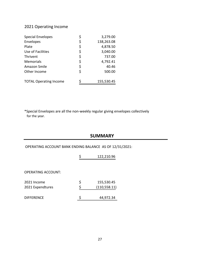### 2021 Operating Income

| <b>Special Envelopes</b>      | \$<br>3,279.00   |
|-------------------------------|------------------|
| Envelopes                     | \$<br>138,263.08 |
| Plate                         | \$<br>4,878.50   |
| Use of Facilities             | \$<br>3,040.00   |
| <b>Thrivent</b>               | \$<br>737.00     |
| Memorials                     | \$<br>4,792.41   |
| Amazon Smile                  | \$<br>40.46      |
| Other Income                  | \$<br>500.00     |
| <b>TOTAL Operating Income</b> | 155,530.45       |

\*Special Envelopes are all the non-weekly regular giving envelopes collectively for the year.

### **SUMMARY**

OPERATING ACCOUNT BANK ENDING BALANCE AS OF 12/31/2021:

|                                 | 122,210.96                        |
|---------------------------------|-----------------------------------|
|                                 |                                   |
| <b>OPERATING ACCOUNT:</b>       |                                   |
| 2021 Income<br>2021 Expendtures | \$<br>155,530.45<br>(110, 558.11) |
| <b>DIFFERENCE</b>               | 44,972.34                         |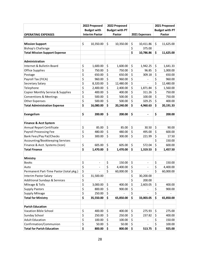|                                          | 2022 Proposed                  | 2022 Proposed         |               |               |                              |                       | 2021 Proposed |
|------------------------------------------|--------------------------------|-----------------------|---------------|---------------|------------------------------|-----------------------|---------------|
|                                          | <b>Budget with</b>             | <b>Budget with PT</b> |               |               |                              | <b>Budget with PT</b> |               |
| <b>OPERATING EXPENSES</b>                | <b>Interim Pastor</b>          |                       | <b>Pastor</b> | 2021 Expenses |                              | Pastor                |               |
|                                          |                                |                       |               |               |                              |                       |               |
| <b>Mission Support</b>                   | \$<br>10,350.00                | \$                    | 10,350.00     | \$            | 10,411.86                    | \$                    | 11,625.00     |
| <b>Bishop's Challenge</b>                |                                |                       |               | \$            | 375.00                       |                       |               |
| <b>Total Mission Support Expense</b>     |                                |                       |               | \$            | 10,786.86                    | \$                    | 11,625.00     |
|                                          |                                |                       |               |               |                              |                       |               |
| Administration                           |                                |                       |               |               |                              |                       |               |
| Internet & Bulletin Board                | \$<br>1,600.00                 | \$                    | 1,600.00      | \$            | 1,942.25                     | \$                    | 1,641.33      |
| <b>Office Supplies</b>                   | \$<br>750.00                   | \$                    | 750.00        | \$            | 96.85                        | \$                    | 1,000.00      |
| Postage                                  | \$<br>650.00                   | \$                    | 650.00        | \$            | 309.18                       | \$                    | 650.00        |
| Payroll Tax (FICA)                       | \$<br>960.00                   | \$                    | 960.00        | \$            |                              | \$                    | 960.00        |
| Secretary Salary                         | \$<br>8,320.00                 | \$                    | 12,480.00     | \$            |                              | \$                    | 12,480.00     |
| Telephone                                | \$<br>2,400.00                 | \$                    | 2,400.00      | \$            | 1,871.84                     | \$                    | 1,560.00      |
| Copier Monthly Service & Supplies        | \$<br>400.00                   | \$                    | 400.00        | \$            | 311.26                       | \$                    | 750.00        |
| <b>Conventions &amp; Meetings</b>        | \$<br>500.00                   | \$                    | 500.00        | \$            | 100.00                       | \$                    | 750.00        |
| <b>Other Expenses</b>                    | \$<br>500.00                   | \$                    | 500.00        | \$            | 329.25                       | \$                    | 400.00        |
| <b>Total Administration Expense</b>      | \$<br>16,080.00                | \$                    | 20,240.00     | \$            | 4,960.63                     | \$                    | 20,191.33     |
|                                          |                                |                       |               |               |                              |                       |               |
| Evangelism                               | \$<br>200.00                   | \$                    | 200.00        | \$            | $\qquad \qquad \blacksquare$ | \$                    | 200.00        |
|                                          |                                |                       |               |               |                              |                       |               |
| <b>Finance &amp; Acct System</b>         |                                |                       |               |               |                              |                       |               |
| Annual Report Certificate                | \$<br>85.00                    | \$                    | 85.00         | \$            | 30.50                        | \$                    | 90.00         |
| <b>Payroll Processing Fee</b>            | \$<br>480.00                   | \$                    | 480.00        | \$            | 495.00                       | \$                    | 600.00        |
| <b>Bank Fees/Pay Pal/Checks</b>          | \$<br>300.00                   | \$                    | 300.00        | \$            | 221.99                       | \$                    | 17.50         |
| Accounting/Bookkeeping Services          |                                |                       |               |               |                              | \$                    | 150.00        |
| Finance & Acct. Systems (Icon)           | \$<br>605.00                   | \$                    | 605.00        | \$            | 572.04                       | \$                    | 600.00        |
| <b>Total Finance</b>                     | \$<br>1,470.00                 | \$                    | 1,470.00      | \$            | 1,319.53                     | \$                    | 1,457.50      |
|                                          |                                |                       |               |               |                              |                       |               |
| Ministry                                 |                                |                       |               |               |                              |                       |               |
| <b>Books</b>                             | \$<br>-                        | \$                    | 150.00        | \$            | -                            | \$                    | 150.00        |
| Auto                                     | \$<br>$\overline{\phantom{a}}$ | \$                    | 4,400.00      | \$            | $\overline{\phantom{a}}$     | \$                    | 4,400.00      |
| Permanent Part-Time Pastor (total pkg.)  | \$                             | \$                    | 60,000.00     | \$            |                              | \$                    | 60,000.00     |
| <b>Interim Pastor Salary</b>             | \$<br>31,500.00                |                       |               | \$            | 30,200.00                    |                       |               |
| <b>Additional Sundays &amp; Services</b> | \$                             |                       |               | \$            | 200.00                       |                       |               |
| Mileage & Tolls                          | \$<br>3,000.00                 | \$                    | 400.00        | \$            | 2,603.05                     | \$                    | 400.00        |
| <b>Supply Pastors</b>                    | \$<br>800.00                   | \$                    | 900.00        | \$            |                              | \$                    | 900.00        |
| <b>Supply Mileage</b>                    | \$<br>250.00                   | \$                    |               | \$            |                              | \$                    |               |
| <b>Total for Ministry</b>                | \$<br>35,550.00                | \$                    | 65,850.00     | \$            | 33,003.05                    | \$                    | 65,850.00     |
|                                          |                                |                       |               |               |                              |                       |               |
| <b>Parish Education</b>                  |                                |                       |               |               |                              |                       |               |
| Vacation Bible School                    | \$<br>400.00                   | \$                    | 400.00        | \$            | 275.93                       | \$                    | 275.00        |
| Sunday School                            | \$<br>250.00                   | \$                    | 250.00        | \$            | 237.82                       | \$                    | 400.00        |
| <b>Adult Education</b>                   | \$<br>100.00                   | \$                    | 100.00        | \$            |                              | \$                    | 150.00        |
| Confirmation/Communion                   | \$<br>50.00                    | \$                    | 50.00         | \$            |                              | \$                    | 100.00        |
| <b>Total for Parish Education</b>        | \$<br>800.00                   | \$                    | 800.00        | \$            | 513.75                       | \$                    | 925.00        |